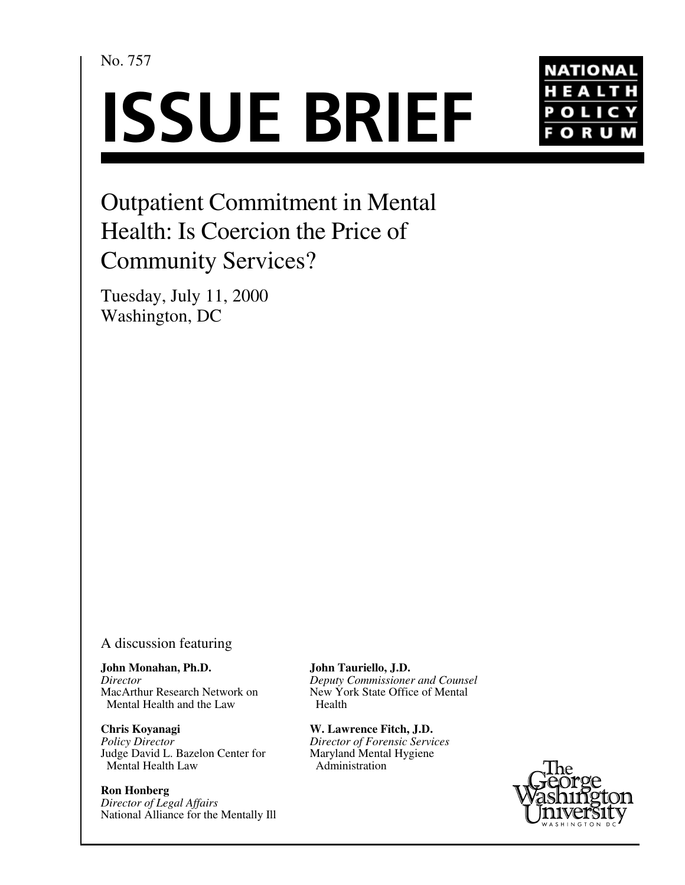No. 757

# **ISSUE BRIEF**



## Outpatient Commitment in Mental Health: Is Coercion the Price of Community Services?

Tuesday, July 11, 2000 Washington, DC

#### A discussion featuring

**John Monahan, Ph.D.** *Director* MacArthur Research Network on Mental Health and the Law

**Chris Koyanagi** *Policy Director* Judge David L. Bazelon Center for Mental Health Law

**Ron Honberg** *Director of Legal Affairs* National Alliance for the Mentally Ill **John Tauriello, J.D.**

*Deputy Commissioner and Counsel* New York State Office of Mental Health

**W. Lawrence Fitch, J.D.** *Director of Forensic Services* Maryland Mental Hygiene Administration

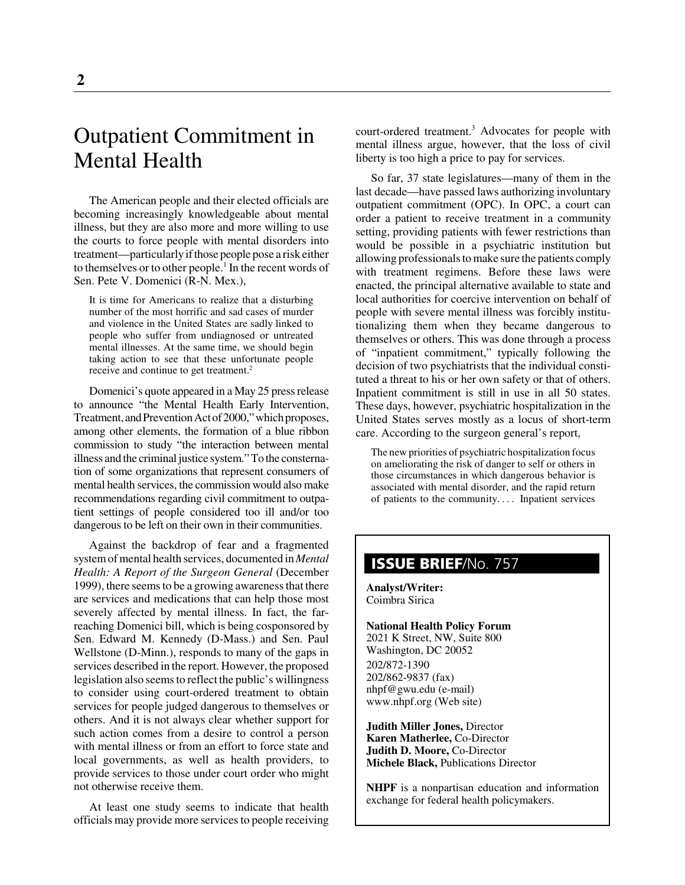### Outpatient Commitment in Mental Health

The American people and their elected officials are becoming increasingly knowledgeable about mental illness, but they are also more and more willing to use the courts to force people with mental disorders into treatment—particularly if those people pose a risk either to themselves or to other people.<sup>1</sup> In the recent words of Sen. Pete V. Domenici (R-N. Mex.),

It is time for Americans to realize that a disturbing number of the most horrific and sad cases of murder and violence in the United States are sadly linked to people who suffer from undiagnosed or untreated mental illnesses. At the same time, we should begin taking action to see that these unfortunate people receive and continue to get treatment.<sup>2</sup>

Domenici's quote appeared in a May 25 press release to announce "the Mental Health Early Intervention, Treatment, and Prevention Act of 2000," which proposes, among other elements, the formation of a blue ribbon commission to study "the interaction between mental illness and the criminal justice system." To the consternation of some organizations that represent consumers of mental health services, the commission would also make recommendations regarding civil commitment to outpatient settings of people considered too ill and/or too dangerous to be left on their own in their communities.

Against the backdrop of fear and a fragmented system of mental health services, documented in *Mental Health: A Report of the Surgeon General* (December 1999), there seems to be a growing awareness that there are services and medications that can help those most severely affected by mental illness. In fact, the farreaching Domenici bill, which is being cosponsored by Sen. Edward M. Kennedy (D-Mass.) and Sen. Paul Wellstone (D-Minn.), responds to many of the gaps in services described in the report. However, the proposed legislation also seems to reflect the public's willingness to consider using court-ordered treatment to obtain services for people judged dangerous to themselves or others. And it is not always clear whether support for such action comes from a desire to control a person with mental illness or from an effort to force state and local governments, as well as health providers, to provide services to those under court order who might not otherwise receive them.

At least one study seems to indicate that health officials may provide more services to people receiving

court-ordered treatment.<sup>3</sup> Advocates for people with mental illness argue, however, that the loss of civil liberty is too high a price to pay for services.

So far, 37 state legislatures—many of them in the last decade—have passed laws authorizing involuntary outpatient commitment (OPC). In OPC, a court can order a patient to receive treatment in a community setting, providing patients with fewer restrictions than would be possible in a psychiatric institution but allowing professionals to make sure the patients comply with treatment regimens. Before these laws were enacted, the principal alternative available to state and local authorities for coercive intervention on behalf of people with severe mental illness was forcibly institutionalizing them when they became dangerous to themselves or others. This was done through a process of "inpatient commitment," typically following the decision of two psychiatrists that the individual constituted a threat to his or her own safety or that of others. Inpatient commitment is still in use in all 50 states. These days, however, psychiatric hospitalization in the United States serves mostly as a locus of short-term care. According to the surgeon general's report,

The new priorities of psychiatric hospitalization focus on ameliorating the risk of danger to self or others in those circumstances in which dangerous behavior is associated with mental disorder, and the rapid return of patients to the community. . . . Inpatient services

#### **ISSUE BRIEF**/No. 757

**Analyst/Writer:** Coimbra Sirica

**National Health Policy Forum** 2021 K Street, NW, Suite 800 Washington, DC 20052 202/872-1390 202/862-9837 (fax) nhpf@gwu.edu (e-mail) www.nhpf.org (Web site)

**Judith Miller Jones,** Director **Karen Matherlee,** Co-Director **Judith D. Moore,** Co-Director **Michele Black,** Publications Director

**NHPF** is a nonpartisan education and information exchange for federal health policymakers.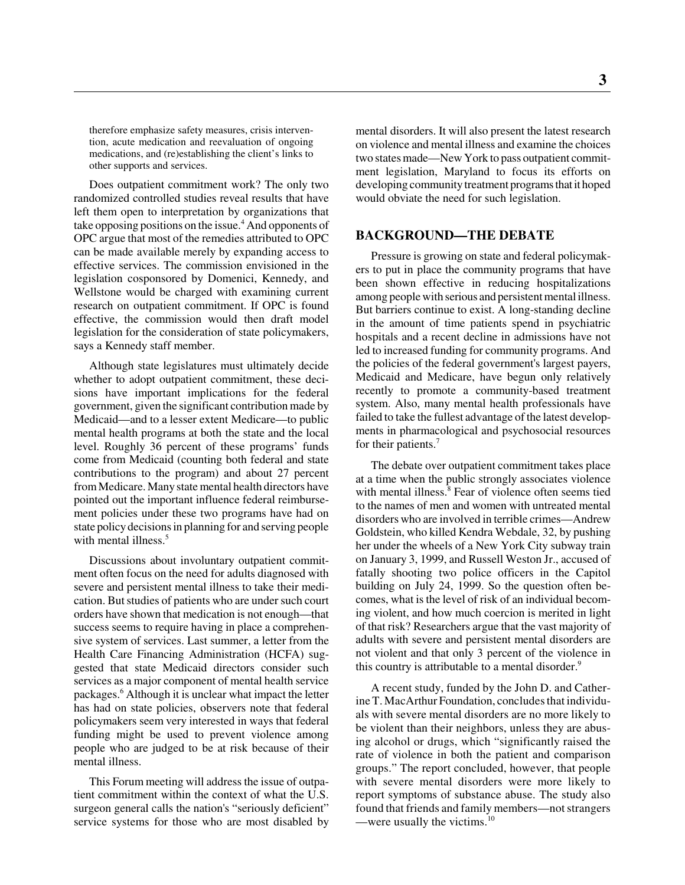therefore emphasize safety measures, crisis intervention, acute medication and reevaluation of ongoing medications, and (re)establishing the client's links to other supports and services.

Does outpatient commitment work? The only two randomized controlled studies reveal results that have left them open to interpretation by organizations that take opposing positions on the issue.<sup>4</sup> And opponents of OPC argue that most of the remedies attributed to OPC can be made available merely by expanding access to effective services. The commission envisioned in the legislation cosponsored by Domenici, Kennedy, and Wellstone would be charged with examining current research on outpatient commitment. If OPC is found effective, the commission would then draft model legislation for the consideration of state policymakers, says a Kennedy staff member.

Although state legislatures must ultimately decide whether to adopt outpatient commitment, these decisions have important implications for the federal government, given the significant contribution made by Medicaid—and to a lesser extent Medicare—to public mental health programs at both the state and the local level. Roughly 36 percent of these programs' funds come from Medicaid (counting both federal and state contributions to the program) and about 27 percent from Medicare. Many state mental health directors have pointed out the important influence federal reimbursement policies under these two programs have had on state policy decisions in planning for and serving people with mental illness.<sup>5</sup>

Discussions about involuntary outpatient commitment often focus on the need for adults diagnosed with severe and persistent mental illness to take their medication. But studies of patients who are under such court orders have shown that medication is not enough—that success seems to require having in place a comprehensive system of services. Last summer, a letter from the Health Care Financing Administration (HCFA) suggested that state Medicaid directors consider such services as a major component of mental health service packages.<sup>6</sup> Although it is unclear what impact the letter has had on state policies, observers note that federal policymakers seem very interested in ways that federal funding might be used to prevent violence among people who are judged to be at risk because of their mental illness.

This Forum meeting will address the issue of outpatient commitment within the context of what the U.S. surgeon general calls the nation's "seriously deficient" service systems for those who are most disabled by mental disorders. It will also present the latest research on violence and mental illness and examine the choices two states made—New York to pass outpatient commitment legislation, Maryland to focus its efforts on developing community treatment programs that it hoped would obviate the need for such legislation.

#### **BACKGROUND—THE DEBATE**

Pressure is growing on state and federal policymakers to put in place the community programs that have been shown effective in reducing hospitalizations among people with serious and persistent mental illness. But barriers continue to exist. A long-standing decline in the amount of time patients spend in psychiatric hospitals and a recent decline in admissions have not led to increased funding for community programs. And the policies of the federal government's largest payers, Medicaid and Medicare, have begun only relatively recently to promote a community-based treatment system. Also, many mental health professionals have failed to take the fullest advantage of the latest developments in pharmacological and psychosocial resources for their patients.<sup>7</sup>

The debate over outpatient commitment takes place at a time when the public strongly associates violence with mental illness.<sup>8</sup> Fear of violence often seems tied to the names of men and women with untreated mental disorders who are involved in terrible crimes—Andrew Goldstein, who killed Kendra Webdale, 32, by pushing her under the wheels of a New York City subway train on January 3, 1999, and Russell Weston Jr., accused of fatally shooting two police officers in the Capitol building on July 24, 1999. So the question often becomes, what is the level of risk of an individual becoming violent, and how much coercion is merited in light of that risk? Researchers argue that the vast majority of adults with severe and persistent mental disorders are not violent and that only 3 percent of the violence in this country is attributable to a mental disorder.<sup>9</sup>

A recent study, funded by the John D. and Catherine T. MacArthur Foundation, concludes that individuals with severe mental disorders are no more likely to be violent than their neighbors, unless they are abusing alcohol or drugs, which "significantly raised the rate of violence in both the patient and comparison groups." The report concluded, however, that people with severe mental disorders were more likely to report symptoms of substance abuse. The study also found that friends and family members—not strangers —were usually the victims. $10$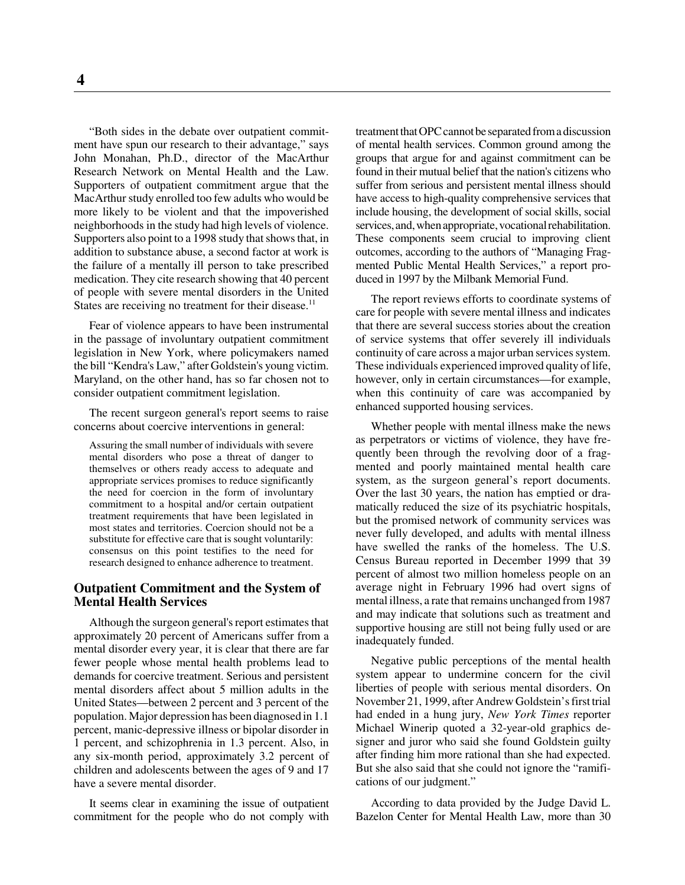"Both sides in the debate over outpatient commitment have spun our research to their advantage," says John Monahan, Ph.D., director of the MacArthur Research Network on Mental Health and the Law. Supporters of outpatient commitment argue that the MacArthur study enrolled too few adults who would be more likely to be violent and that the impoverished neighborhoods in the study had high levels of violence. Supporters also point to a 1998 study that shows that, in addition to substance abuse, a second factor at work is the failure of a mentally ill person to take prescribed medication. They cite research showing that 40 percent of people with severe mental disorders in the United States are receiving no treatment for their disease.<sup>11</sup>

Fear of violence appears to have been instrumental in the passage of involuntary outpatient commitment legislation in New York, where policymakers named the bill "Kendra's Law," after Goldstein's young victim. Maryland, on the other hand, has so far chosen not to consider outpatient commitment legislation.

The recent surgeon general's report seems to raise concerns about coercive interventions in general:

Assuring the small number of individuals with severe mental disorders who pose a threat of danger to themselves or others ready access to adequate and appropriate services promises to reduce significantly the need for coercion in the form of involuntary commitment to a hospital and/or certain outpatient treatment requirements that have been legislated in most states and territories. Coercion should not be a substitute for effective care that is sought voluntarily: consensus on this point testifies to the need for research designed to enhance adherence to treatment.

#### **Outpatient Commitment and the System of Mental Health Services**

Although the surgeon general's report estimates that approximately 20 percent of Americans suffer from a mental disorder every year, it is clear that there are far fewer people whose mental health problems lead to demands for coercive treatment. Serious and persistent mental disorders affect about 5 million adults in the United States—between 2 percent and 3 percent of the population. Major depression has been diagnosed in 1.1 percent, manic-depressive illness or bipolar disorder in 1 percent, and schizophrenia in 1.3 percent. Also, in any six-month period, approximately 3.2 percent of children and adolescents between the ages of 9 and 17 have a severe mental disorder.

It seems clear in examining the issue of outpatient commitment for the people who do not comply with

treatment that OPC cannot be separated from a discussion of mental health services. Common ground among the groups that argue for and against commitment can be found in their mutual belief that the nation's citizens who suffer from serious and persistent mental illness should have access to high-quality comprehensive services that include housing, the development of social skills, social services, and, when appropriate, vocational rehabilitation. These components seem crucial to improving client outcomes, according to the authors of "Managing Fragmented Public Mental Health Services," a report produced in 1997 by the Milbank Memorial Fund.

The report reviews efforts to coordinate systems of care for people with severe mental illness and indicates that there are several success stories about the creation of service systems that offer severely ill individuals continuity of care across a major urban services system. These individuals experienced improved quality of life, however, only in certain circumstances—for example, when this continuity of care was accompanied by enhanced supported housing services.

Whether people with mental illness make the news as perpetrators or victims of violence, they have frequently been through the revolving door of a fragmented and poorly maintained mental health care system, as the surgeon general's report documents. Over the last 30 years, the nation has emptied or dramatically reduced the size of its psychiatric hospitals, but the promised network of community services was never fully developed, and adults with mental illness have swelled the ranks of the homeless. The U.S. Census Bureau reported in December 1999 that 39 percent of almost two million homeless people on an average night in February 1996 had overt signs of mental illness, a rate that remains unchanged from 1987 and may indicate that solutions such as treatment and supportive housing are still not being fully used or are inadequately funded.

Negative public perceptions of the mental health system appear to undermine concern for the civil liberties of people with serious mental disorders. On November 21, 1999, after Andrew Goldstein's first trial had ended in a hung jury, *New York Times* reporter Michael Winerip quoted a 32-year-old graphics designer and juror who said she found Goldstein guilty after finding him more rational than she had expected. But she also said that she could not ignore the "ramifications of our judgment."

According to data provided by the Judge David L. Bazelon Center for Mental Health Law, more than 30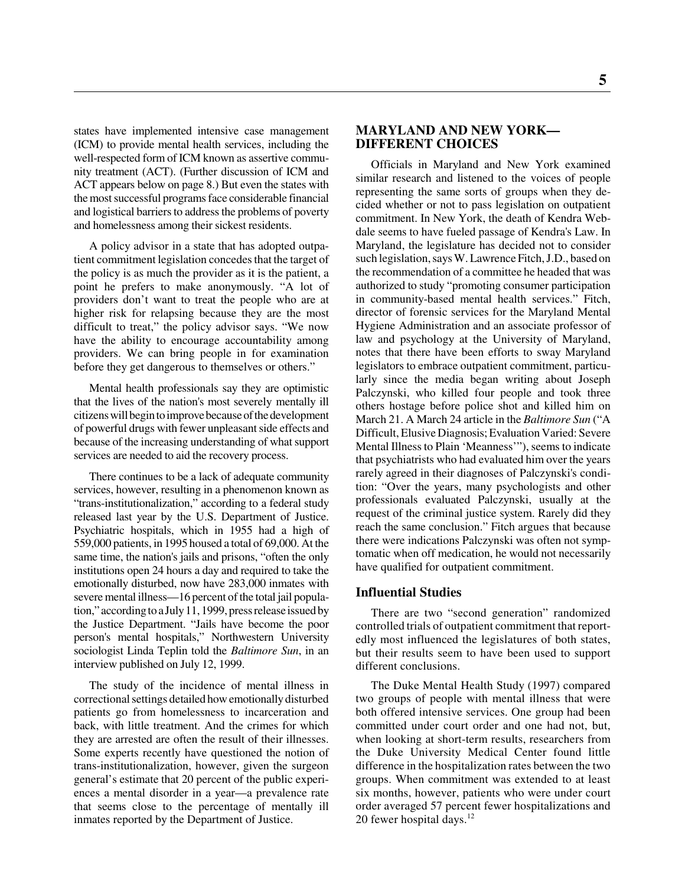states have implemented intensive case management (ICM) to provide mental health services, including the well-respected form of ICM known as assertive community treatment (ACT). (Further discussion of ICM and ACT appears below on page 8.) But even the states with the most successful programs face considerable financial and logistical barriers to address the problems of poverty and homelessness among their sickest residents.

A policy advisor in a state that has adopted outpatient commitment legislation concedes that the target of the policy is as much the provider as it is the patient, a point he prefers to make anonymously. "A lot of providers don't want to treat the people who are at higher risk for relapsing because they are the most difficult to treat," the policy advisor says. "We now have the ability to encourage accountability among providers. We can bring people in for examination before they get dangerous to themselves or others."

Mental health professionals say they are optimistic that the lives of the nation's most severely mentally ill citizens will begin to improve because of the development of powerful drugs with fewer unpleasant side effects and because of the increasing understanding of what support services are needed to aid the recovery process.

There continues to be a lack of adequate community services, however, resulting in a phenomenon known as "trans-institutionalization," according to a federal study released last year by the U.S. Department of Justice. Psychiatric hospitals, which in 1955 had a high of 559,000 patients, in 1995 housed a total of 69,000. At the same time, the nation's jails and prisons, "often the only institutions open 24 hours a day and required to take the emotionally disturbed, now have 283,000 inmates with severe mental illness—16 percent of the total jail population," according to a July 11, 1999, press release issued by the Justice Department. "Jails have become the poor person's mental hospitals," Northwestern University sociologist Linda Teplin told the *Baltimore Sun*, in an interview published on July 12, 1999.

The study of the incidence of mental illness in correctional settings detailed how emotionally disturbed patients go from homelessness to incarceration and back, with little treatment. And the crimes for which they are arrested are often the result of their illnesses. Some experts recently have questioned the notion of trans-institutionalization, however, given the surgeon general's estimate that 20 percent of the public experiences a mental disorder in a year—a prevalence rate that seems close to the percentage of mentally ill inmates reported by the Department of Justice.

#### **MARYLAND AND NEW YORK— DIFFERENT CHOICES**

Officials in Maryland and New York examined similar research and listened to the voices of people representing the same sorts of groups when they decided whether or not to pass legislation on outpatient commitment. In New York, the death of Kendra Webdale seems to have fueled passage of Kendra's Law. In Maryland, the legislature has decided not to consider such legislation, says W. Lawrence Fitch, J.D., based on the recommendation of a committee he headed that was authorized to study "promoting consumer participation in community-based mental health services." Fitch, director of forensic services for the Maryland Mental Hygiene Administration and an associate professor of law and psychology at the University of Maryland, notes that there have been efforts to sway Maryland legislators to embrace outpatient commitment, particularly since the media began writing about Joseph Palczynski, who killed four people and took three others hostage before police shot and killed him on March 21. A March 24 article in the *Baltimore Sun* ("A Difficult, Elusive Diagnosis; Evaluation Varied: Severe Mental Illness to Plain 'Meanness'"), seems to indicate that psychiatrists who had evaluated him over the years rarely agreed in their diagnoses of Palczynski's condition: "Over the years, many psychologists and other professionals evaluated Palczynski, usually at the request of the criminal justice system. Rarely did they reach the same conclusion." Fitch argues that because there were indications Palczynski was often not symptomatic when off medication, he would not necessarily have qualified for outpatient commitment.

#### **Influential Studies**

There are two "second generation" randomized controlled trials of outpatient commitment that reportedly most influenced the legislatures of both states, but their results seem to have been used to support different conclusions.

The Duke Mental Health Study (1997) compared two groups of people with mental illness that were both offered intensive services. One group had been committed under court order and one had not, but, when looking at short-term results, researchers from the Duke University Medical Center found little difference in the hospitalization rates between the two groups. When commitment was extended to at least six months, however, patients who were under court order averaged 57 percent fewer hospitalizations and 20 fewer hospital days. $12$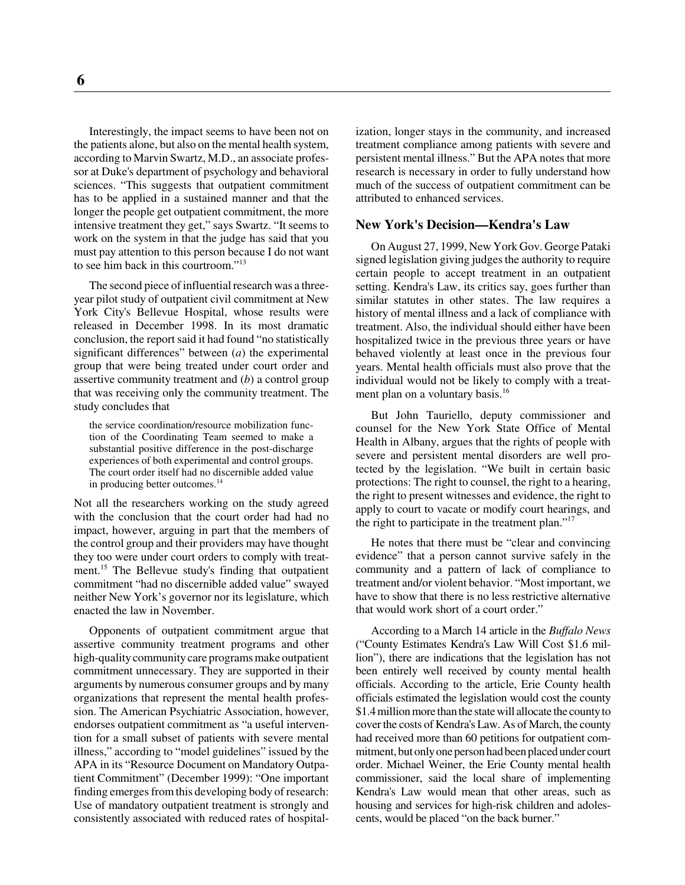**6**

Interestingly, the impact seems to have been not on the patients alone, but also on the mental health system, according to Marvin Swartz, M.D., an associate professor at Duke's department of psychology and behavioral sciences. "This suggests that outpatient commitment has to be applied in a sustained manner and that the longer the people get outpatient commitment, the more intensive treatment they get," says Swartz. "It seems to work on the system in that the judge has said that you must pay attention to this person because I do not want to see him back in this courtroom."13

The second piece of influential research was a threeyear pilot study of outpatient civil commitment at New York City's Bellevue Hospital, whose results were released in December 1998. In its most dramatic conclusion, the report said it had found "no statistically significant differences" between (*a*) the experimental group that were being treated under court order and assertive community treatment and (*b*) a control group that was receiving only the community treatment. The study concludes that

the service coordination/resource mobilization function of the Coordinating Team seemed to make a substantial positive difference in the post-discharge experiences of both experimental and control groups. The court order itself had no discernible added value in producing better outcomes.<sup>14</sup>

Not all the researchers working on the study agreed with the conclusion that the court order had had no impact, however, arguing in part that the members of the control group and their providers may have thought they too were under court orders to comply with treatment.<sup>15</sup> The Bellevue study's finding that outpatient commitment "had no discernible added value" swayed neither New York's governor nor its legislature, which enacted the law in November.

Opponents of outpatient commitment argue that assertive community treatment programs and other high-quality community care programs make outpatient commitment unnecessary. They are supported in their arguments by numerous consumer groups and by many organizations that represent the mental health profession. The American Psychiatric Association, however, endorses outpatient commitment as "a useful intervention for a small subset of patients with severe mental illness," according to "model guidelines" issued by the APA in its "Resource Document on Mandatory Outpatient Commitment" (December 1999): "One important finding emerges from this developing body of research: Use of mandatory outpatient treatment is strongly and consistently associated with reduced rates of hospitalization, longer stays in the community, and increased treatment compliance among patients with severe and persistent mental illness." But the APA notes that more research is necessary in order to fully understand how much of the success of outpatient commitment can be attributed to enhanced services.

#### **New York's Decision—Kendra's Law**

On August 27, 1999, New York Gov. George Pataki signed legislation giving judges the authority to require certain people to accept treatment in an outpatient setting. Kendra's Law, its critics say, goes further than similar statutes in other states. The law requires a history of mental illness and a lack of compliance with treatment. Also, the individual should either have been hospitalized twice in the previous three years or have behaved violently at least once in the previous four years. Mental health officials must also prove that the individual would not be likely to comply with a treatment plan on a voluntary basis.<sup>16</sup>

But John Tauriello, deputy commissioner and counsel for the New York State Office of Mental Health in Albany, argues that the rights of people with severe and persistent mental disorders are well protected by the legislation. "We built in certain basic protections: The right to counsel, the right to a hearing, the right to present witnesses and evidence, the right to apply to court to vacate or modify court hearings, and the right to participate in the treatment plan."<sup>17</sup>

He notes that there must be "clear and convincing evidence" that a person cannot survive safely in the community and a pattern of lack of compliance to treatment and/or violent behavior. "Most important, we have to show that there is no less restrictive alternative that would work short of a court order."

According to a March 14 article in the *Buffalo News* ("County Estimates Kendra's Law Will Cost \$1.6 million"), there are indications that the legislation has not been entirely well received by county mental health officials. According to the article, Erie County health officials estimated the legislation would cost the county \$1.4 million more than the state will allocate the county to cover the costs of Kendra's Law. As of March, the county had received more than 60 petitions for outpatient commitment, but only one person had been placed under court order. Michael Weiner, the Erie County mental health commissioner, said the local share of implementing Kendra's Law would mean that other areas, such as housing and services for high-risk children and adolescents, would be placed "on the back burner."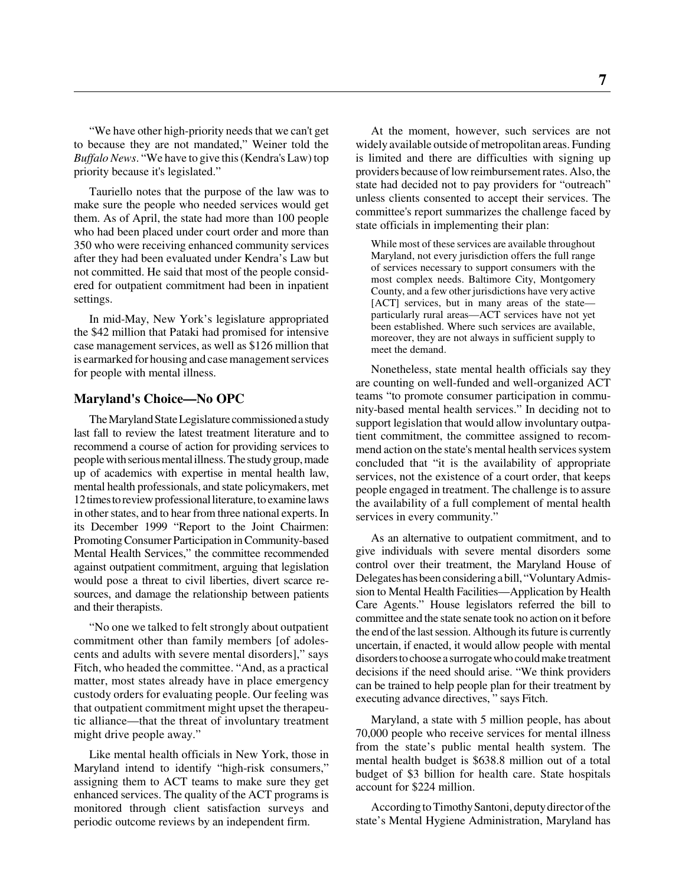"We have other high-priority needs that we can't get to because they are not mandated," Weiner told the *Buffalo News*. "We have to give this (Kendra's Law) top priority because it's legislated."

Tauriello notes that the purpose of the law was to make sure the people who needed services would get them. As of April, the state had more than 100 people who had been placed under court order and more than 350 who were receiving enhanced community services after they had been evaluated under Kendra's Law but not committed. He said that most of the people considered for outpatient commitment had been in inpatient settings.

In mid-May, New York's legislature appropriated the \$42 million that Pataki had promised for intensive case management services, as well as \$126 million that is earmarked for housing and case management services for people with mental illness.

#### **Maryland's Choice—No OPC**

The Maryland State Legislature commissioned a study last fall to review the latest treatment literature and to recommend a course of action for providing services to people with serious mental illness. The study group, made up of academics with expertise in mental health law, mental health professionals, and state policymakers, met 12 times to review professional literature, to examine laws in other states, and to hear from three national experts. In its December 1999 "Report to the Joint Chairmen: Promoting Consumer Participation in Community-based Mental Health Services," the committee recommended against outpatient commitment, arguing that legislation would pose a threat to civil liberties, divert scarce resources, and damage the relationship between patients and their therapists.

"No one we talked to felt strongly about outpatient commitment other than family members [of adolescents and adults with severe mental disorders]," says Fitch, who headed the committee. "And, as a practical matter, most states already have in place emergency custody orders for evaluating people. Our feeling was that outpatient commitment might upset the therapeutic alliance—that the threat of involuntary treatment might drive people away."

Like mental health officials in New York, those in Maryland intend to identify "high-risk consumers," assigning them to ACT teams to make sure they get enhanced services. The quality of the ACT programs is monitored through client satisfaction surveys and periodic outcome reviews by an independent firm.

At the moment, however, such services are not widely available outside of metropolitan areas. Funding is limited and there are difficulties with signing up providers because of low reimbursement rates. Also, the state had decided not to pay providers for "outreach" unless clients consented to accept their services. The committee's report summarizes the challenge faced by state officials in implementing their plan:

While most of these services are available throughout Maryland, not every jurisdiction offers the full range of services necessary to support consumers with the most complex needs. Baltimore City, Montgomery County, and a few other jurisdictions have very active [ACT] services, but in many areas of the state particularly rural areas—ACT services have not yet been established. Where such services are available, moreover, they are not always in sufficient supply to meet the demand.

Nonetheless, state mental health officials say they are counting on well-funded and well-organized ACT teams "to promote consumer participation in community-based mental health services." In deciding not to support legislation that would allow involuntary outpatient commitment, the committee assigned to recommend action on the state's mental health services system concluded that "it is the availability of appropriate services, not the existence of a court order, that keeps people engaged in treatment. The challenge is to assure the availability of a full complement of mental health services in every community."

As an alternative to outpatient commitment, and to give individuals with severe mental disorders some control over their treatment, the Maryland House of Delegates has been considering a bill, "Voluntary Admission to Mental Health Facilities—Application by Health Care Agents." House legislators referred the bill to committee and the state senate took no action on it before the end of the last session. Although its future is currently uncertain, if enacted, it would allow people with mental disorders to choose a surrogate who could make treatment decisions if the need should arise. "We think providers can be trained to help people plan for their treatment by executing advance directives, " says Fitch.

Maryland, a state with 5 million people, has about 70,000 people who receive services for mental illness from the state's public mental health system. The mental health budget is \$638.8 million out of a total budget of \$3 billion for health care. State hospitals account for \$224 million.

According to Timothy Santoni, deputy director of the state's Mental Hygiene Administration, Maryland has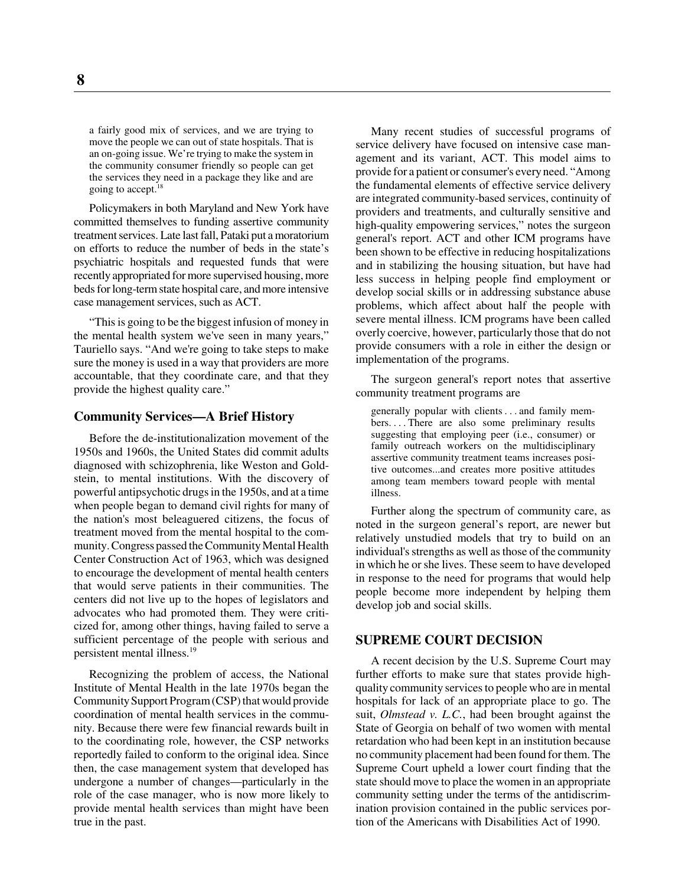a fairly good mix of services, and we are trying to move the people we can out of state hospitals. That is an on-going issue. We're trying to make the system in the community consumer friendly so people can get the services they need in a package they like and are going to accept.<sup>18</sup>

Policymakers in both Maryland and New York have committed themselves to funding assertive community treatment services. Late last fall, Pataki put a moratorium on efforts to reduce the number of beds in the state's psychiatric hospitals and requested funds that were recently appropriated for more supervised housing, more beds for long-term state hospital care, and more intensive case management services, such as ACT.

"This is going to be the biggest infusion of money in the mental health system we've seen in many years," Tauriello says. "And we're going to take steps to make sure the money is used in a way that providers are more accountable, that they coordinate care, and that they provide the highest quality care."

#### **Community Services—A Brief History**

Before the de-institutionalization movement of the 1950s and 1960s, the United States did commit adults diagnosed with schizophrenia, like Weston and Goldstein, to mental institutions. With the discovery of powerful antipsychotic drugs in the 1950s, and at a time when people began to demand civil rights for many of the nation's most beleaguered citizens, the focus of treatment moved from the mental hospital to the community. Congress passed the Community Mental Health Center Construction Act of 1963, which was designed to encourage the development of mental health centers that would serve patients in their communities. The centers did not live up to the hopes of legislators and advocates who had promoted them. They were criticized for, among other things, having failed to serve a sufficient percentage of the people with serious and persistent mental illness.19

Recognizing the problem of access, the National Institute of Mental Health in the late 1970s began the Community Support Program (CSP) that would provide coordination of mental health services in the community. Because there were few financial rewards built in to the coordinating role, however, the CSP networks reportedly failed to conform to the original idea. Since then, the case management system that developed has undergone a number of changes—particularly in the role of the case manager, who is now more likely to provide mental health services than might have been true in the past.

Many recent studies of successful programs of service delivery have focused on intensive case management and its variant, ACT. This model aims to provide for a patient or consumer's every need. "Among the fundamental elements of effective service delivery are integrated community-based services, continuity of providers and treatments, and culturally sensitive and high-quality empowering services," notes the surgeon general's report. ACT and other ICM programs have been shown to be effective in reducing hospitalizations and in stabilizing the housing situation, but have had less success in helping people find employment or develop social skills or in addressing substance abuse problems, which affect about half the people with severe mental illness. ICM programs have been called overly coercive, however, particularly those that do not provide consumers with a role in either the design or implementation of the programs.

The surgeon general's report notes that assertive community treatment programs are

generally popular with clients . . . and family members....There are also some preliminary results suggesting that employing peer (i.e., consumer) or family outreach workers on the multidisciplinary assertive community treatment teams increases positive outcomes...and creates more positive attitudes among team members toward people with mental illness.

Further along the spectrum of community care, as noted in the surgeon general's report, are newer but relatively unstudied models that try to build on an individual's strengths as well as those of the community in which he or she lives. These seem to have developed in response to the need for programs that would help people become more independent by helping them develop job and social skills.

#### **SUPREME COURT DECISION**

A recent decision by the U.S. Supreme Court may further efforts to make sure that states provide highquality community services to people who are in mental hospitals for lack of an appropriate place to go. The suit, *Olmstead v. L.C.*, had been brought against the State of Georgia on behalf of two women with mental retardation who had been kept in an institution because no community placement had been found for them. The Supreme Court upheld a lower court finding that the state should move to place the women in an appropriate community setting under the terms of the antidiscrimination provision contained in the public services portion of the Americans with Disabilities Act of 1990.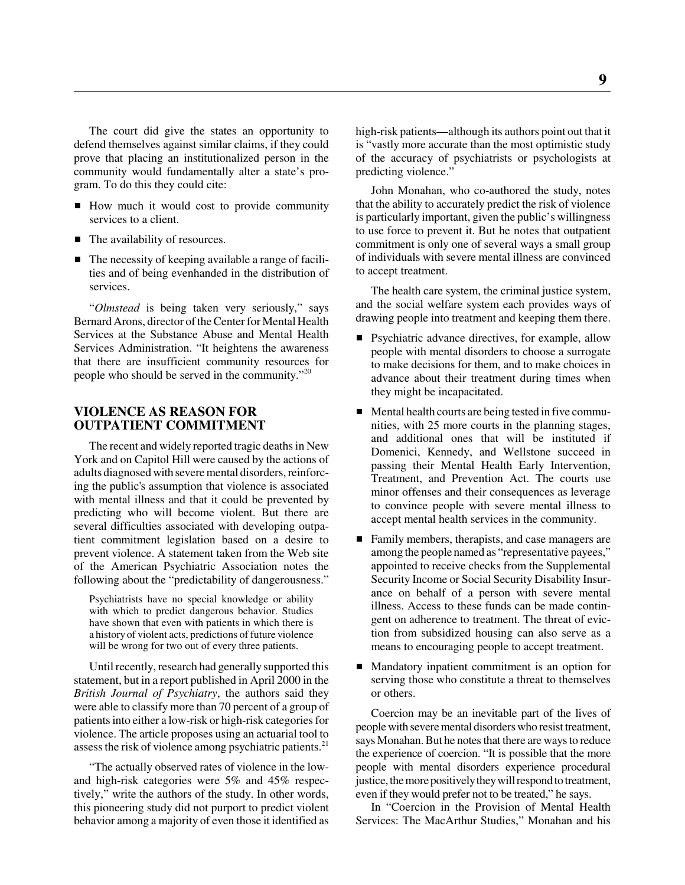The court did give the states an opportunity to defend themselves against similar claims, if they could prove that placing an institutionalized person in the community would fundamentally alter a state's program. To do this they could cite:

- How much it would cost to provide community services to a client.
- The availability of resources.
- The necessity of keeping available a range of facilities and of being evenhanded in the distribution of services.

"*Olmstead* is being taken very seriously," says Bernard Arons, director of the Center for Mental Health Services at the Substance Abuse and Mental Health Services Administration. "It heightens the awareness that there are insufficient community resources for people who should be served in the community."20

#### **VIOLENCE AS REASON FOR OUTPATIENT COMMITMENT**

The recent and widely reported tragic deaths in New York and on Capitol Hill were caused by the actions of adults diagnosed with severe mental disorders, reinforcing the public's assumption that violence is associated with mental illness and that it could be prevented by predicting who will become violent. But there are several difficulties associated with developing outpatient commitment legislation based on a desire to prevent violence. A statement taken from the Web site of the American Psychiatric Association notes the following about the "predictability of dangerousness."

Psychiatrists have no special knowledge or ability with which to predict dangerous behavior. Studies have shown that even with patients in which there is a history of violent acts, predictions of future violence will be wrong for two out of every three patients.

Until recently, research had generally supported this statement, but in a report published in April 2000 in the *British Journal of Psychiatry*, the authors said they were able to classify more than 70 percent of a group of patients into either a low-risk or high-risk categories for violence. The article proposes using an actuarial tool to assess the risk of violence among psychiatric patients.<sup>21</sup>

"The actually observed rates of violence in the lowand high-risk categories were 5% and 45% respectively," write the authors of the study. In other words, this pioneering study did not purport to predict violent behavior among a majority of even those it identified as

high-risk patients—although its authors point out that it is "vastly more accurate than the most optimistic study of the accuracy of psychiatrists or psychologists at predicting violence."

John Monahan, who co-authored the study, notes that the ability to accurately predict the risk of violence is particularly important, given the public's willingness to use force to prevent it. But he notes that outpatient commitment is only one of several ways a small group of individuals with severe mental illness are convinced to accept treatment.

The health care system, the criminal justice system, and the social welfare system each provides ways of drawing people into treatment and keeping them there.

- **P**sychiatric advance directives, for example, allow people with mental disorders to choose a surrogate to make decisions for them, and to make choices in advance about their treatment during times when they might be incapacitated.
- Mental health courts are being tested in five communities, with 25 more courts in the planning stages, and additional ones that will be instituted if Domenici, Kennedy, and Wellstone succeed in passing their Mental Health Early Intervention, Treatment, and Prevention Act. The courts use minor offenses and their consequences as leverage to convince people with severe mental illness to accept mental health services in the community.
- Family members, therapists, and case managers are among the people named as "representative payees," appointed to receive checks from the Supplemental Security Income or Social Security Disability Insurance on behalf of a person with severe mental illness. Access to these funds can be made contingent on adherence to treatment. The threat of eviction from subsidized housing can also serve as a means to encouraging people to accept treatment.
- Mandatory inpatient commitment is an option for serving those who constitute a threat to themselves or others.

Coercion may be an inevitable part of the lives of people with severe mental disorders who resist treatment, says Monahan. But he notes that there are ways to reduce the experience of coercion. "It is possible that the more people with mental disorders experience procedural justice, the more positively they will respond to treatment, even if they would prefer not to be treated," he says.

In "Coercion in the Provision of Mental Health Services: The MacArthur Studies," Monahan and his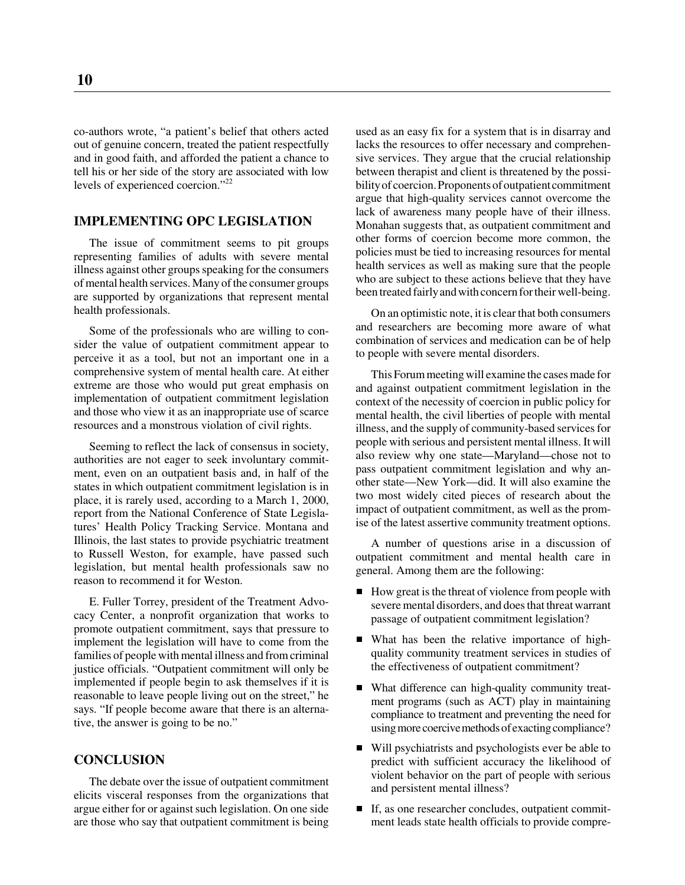co-authors wrote, "a patient's belief that others acted out of genuine concern, treated the patient respectfully and in good faith, and afforded the patient a chance to tell his or her side of the story are associated with low levels of experienced coercion."22

#### **IMPLEMENTING OPC LEGISLATION**

The issue of commitment seems to pit groups representing families of adults with severe mental illness against other groups speaking for the consumers of mental health services. Many of the consumer groups are supported by organizations that represent mental health professionals.

Some of the professionals who are willing to consider the value of outpatient commitment appear to perceive it as a tool, but not an important one in a comprehensive system of mental health care. At either extreme are those who would put great emphasis on implementation of outpatient commitment legislation and those who view it as an inappropriate use of scarce resources and a monstrous violation of civil rights.

Seeming to reflect the lack of consensus in society, authorities are not eager to seek involuntary commitment, even on an outpatient basis and, in half of the states in which outpatient commitment legislation is in place, it is rarely used, according to a March 1, 2000, report from the National Conference of State Legislatures' Health Policy Tracking Service. Montana and Illinois, the last states to provide psychiatric treatment to Russell Weston, for example, have passed such legislation, but mental health professionals saw no reason to recommend it for Weston.

E. Fuller Torrey, president of the Treatment Advocacy Center, a nonprofit organization that works to promote outpatient commitment, says that pressure to implement the legislation will have to come from the families of people with mental illness and from criminal justice officials. "Outpatient commitment will only be implemented if people begin to ask themselves if it is reasonable to leave people living out on the street," he says. "If people become aware that there is an alternative, the answer is going to be no."

#### **CONCLUSION**

The debate over the issue of outpatient commitment elicits visceral responses from the organizations that argue either for or against such legislation. On one side are those who say that outpatient commitment is being

used as an easy fix for a system that is in disarray and lacks the resources to offer necessary and comprehensive services. They argue that the crucial relationship between therapist and client is threatened by the possibility of coercion. Proponents of outpatient commitment argue that high-quality services cannot overcome the lack of awareness many people have of their illness. Monahan suggests that, as outpatient commitment and other forms of coercion become more common, the policies must be tied to increasing resources for mental health services as well as making sure that the people who are subject to these actions believe that they have been treated fairly and with concern for their well-being.

On an optimistic note, it is clear that both consumers and researchers are becoming more aware of what combination of services and medication can be of help to people with severe mental disorders.

This Forum meeting will examine the cases made for and against outpatient commitment legislation in the context of the necessity of coercion in public policy for mental health, the civil liberties of people with mental illness, and the supply of community-based services for people with serious and persistent mental illness. It will also review why one state—Maryland—chose not to pass outpatient commitment legislation and why another state—New York—did. It will also examine the two most widely cited pieces of research about the impact of outpatient commitment, as well as the promise of the latest assertive community treatment options.

A number of questions arise in a discussion of outpatient commitment and mental health care in general. Among them are the following:

- How great is the threat of violence from people with severe mental disorders, and does that threat warrant passage of outpatient commitment legislation?
- What has been the relative importance of highquality community treatment services in studies of the effectiveness of outpatient commitment?
- What difference can high-quality community treatment programs (such as ACT) play in maintaining compliance to treatment and preventing the need for using more coercive methods of exacting compliance?
- Will psychiatrists and psychologists ever be able to predict with sufficient accuracy the likelihood of violent behavior on the part of people with serious and persistent mental illness?
- If, as one researcher concludes, outpatient commitment leads state health officials to provide compre-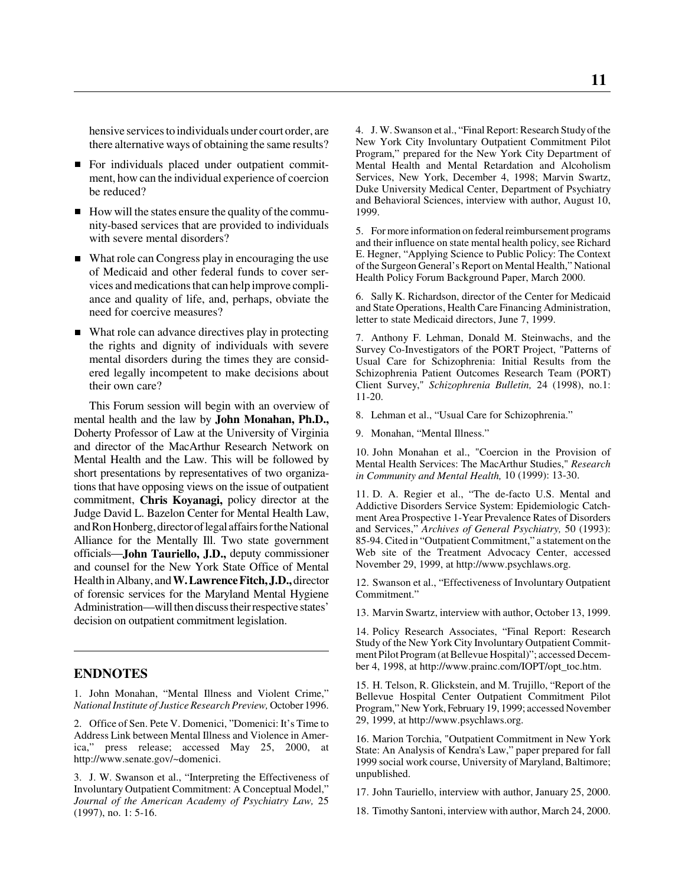hensive services to individuals under court order, are there alternative ways of obtaining the same results?

- For individuals placed under outpatient commitment, how can the individual experience of coercion be reduced?
- How will the states ensure the quality of the community-based services that are provided to individuals with severe mental disorders?
- What role can Congress play in encouraging the use of Medicaid and other federal funds to cover services and medications that can help improve compliance and quality of life, and, perhaps, obviate the need for coercive measures?
- What role can advance directives play in protecting the rights and dignity of individuals with severe mental disorders during the times they are considered legally incompetent to make decisions about their own care?

This Forum session will begin with an overview of mental health and the law by **John Monahan, Ph.D.,** Doherty Professor of Law at the University of Virginia and director of the MacArthur Research Network on Mental Health and the Law. This will be followed by short presentations by representatives of two organizations that have opposing views on the issue of outpatient commitment, **Chris Koyanagi,** policy director at the Judge David L. Bazelon Center for Mental Health Law, and Ron Honberg, director of legal affairs for the National Alliance for the Mentally Ill. Two state government officials—**John Tauriello, J.D.,** deputy commissioner and counsel for the New York State Office of Mental Health in Albany, and **W. Lawrence Fitch, J.D.,** director of forensic services for the Maryland Mental Hygiene Administration—will then discuss their respective states' decision on outpatient commitment legislation.

#### **ENDNOTES**

1. John Monahan, "Mental Illness and Violent Crime," *National Institute of Justice Research Preview,* October 1996.

2. Office of Sen. Pete V. Domenici, "Domenici: It's Time to Address Link between Mental Illness and Violence in America," press release; accessed May 25, 2000, at http://www.senate.gov/~domenici.

3. J. W. Swanson et al., "Interpreting the Effectiveness of Involuntary Outpatient Commitment: A Conceptual Model," *Journal of the American Academy of Psychiatry Law,* 25 (1997), no. 1: 5-16.

4. J. W. Swanson et al., "Final Report: Research Study of the New York City Involuntary Outpatient Commitment Pilot Program," prepared for the New York City Department of Mental Health and Mental Retardation and Alcoholism Services, New York, December 4, 1998; Marvin Swartz, Duke University Medical Center, Department of Psychiatry and Behavioral Sciences, interview with author, August 10, 1999.

5. For more information on federal reimbursement programs and their influence on state mental health policy, see Richard E. Hegner, "Applying Science to Public Policy: The Context of the Surgeon General's Report on Mental Health," National Health Policy Forum Background Paper, March 2000.

6. Sally K. Richardson, director of the Center for Medicaid and State Operations, Health Care Financing Administration, letter to state Medicaid directors, June 7, 1999.

7. Anthony F. Lehman, Donald M. Steinwachs, and the Survey Co-Investigators of the PORT Project, "Patterns of Usual Care for Schizophrenia: Initial Results from the Schizophrenia Patient Outcomes Research Team (PORT) Client Survey," *Schizophrenia Bulletin,* 24 (1998), no.1: 11-20.

8. Lehman et al., "Usual Care for Schizophrenia."

9. Monahan, "Mental Illness."

10. John Monahan et al., "Coercion in the Provision of Mental Health Services: The MacArthur Studies," *Research in Community and Mental Health,* 10 (1999): 13-30.

11. D. A. Regier et al., "The de-facto U.S. Mental and Addictive Disorders Service System: Epidemiologic Catchment Area Prospective 1-Year Prevalence Rates of Disorders and Services," *Archives of General Psychiatry,* 50 (1993): 85-94. Cited in "Outpatient Commitment," a statement on the Web site of the Treatment Advocacy Center, accessed November 29, 1999, at http://www.psychlaws.org.

12. Swanson et al., "Effectiveness of Involuntary Outpatient Commitment."

13. Marvin Swartz, interview with author, October 13, 1999.

14. Policy Research Associates, "Final Report: Research Study of the New York City Involuntary Outpatient Commitment Pilot Program (at Bellevue Hospital)"; accessed December 4, 1998, at http://www.prainc.com/IOPT/opt\_toc.htm.

15. H. Telson, R. Glickstein, and M. Trujillo, "Report of the Bellevue Hospital Center Outpatient Commitment Pilot Program," New York, February 19, 1999; accessed November 29, 1999, at http://www.psychlaws.org.

16. Marion Torchia, "Outpatient Commitment in New York State: An Analysis of Kendra's Law," paper prepared for fall 1999 social work course, University of Maryland, Baltimore; unpublished.

17. John Tauriello, interview with author, January 25, 2000.

18. Timothy Santoni, interview with author, March 24, 2000.